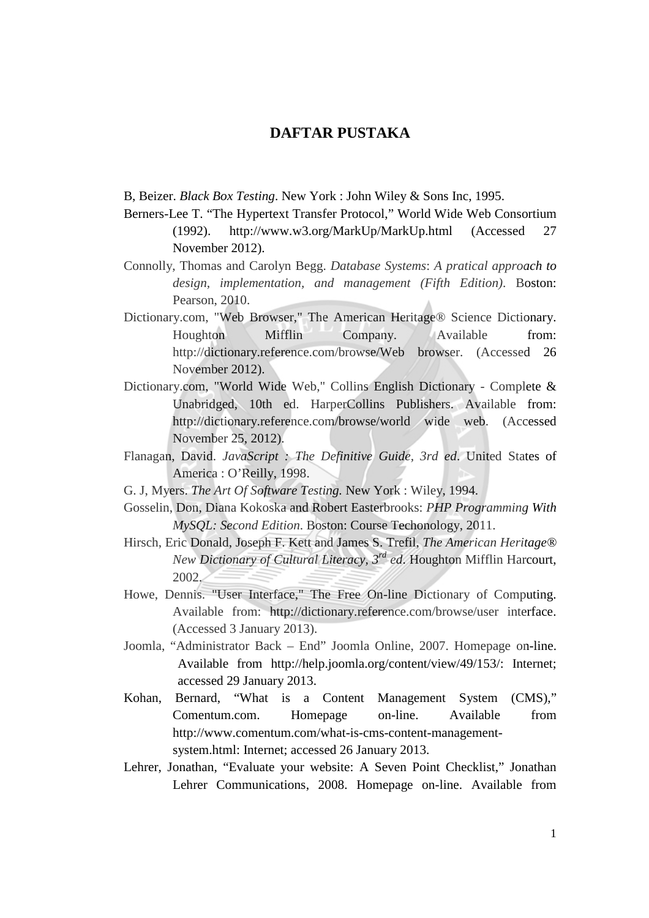## **DAFTAR PUSTAKA**

B, Beizer. *Black Box Testing*. New York : John Wiley & Sons Inc, 1995.

- Berners-Lee T. "The Hypertext Transfer Protocol," World Wide Web Consortium (1992). http://www.w3.org/MarkUp/MarkUp.html (Accessed 27 November 2012).
- Connolly, Thomas and Carolyn Begg. *Database Systems*: *A pratical approach to design, implementation, and management (Fifth Edition)*. Boston: Pearson, 2010.
- Dictionary.com, "Web Browser," The American Heritage® Science Dictionary. Houghton Mifflin Company. Available from: http://dictionary.reference.com/browse/Web browser. (Accessed 26 November 2012).
- Dictionary.com, "World Wide Web," Collins English Dictionary Complete & Unabridged, 10th ed. HarperCollins Publishers. Available from: http://dictionary.reference.com/browse/world wide web. (Accessed November 25, 2012).
- Flanagan, David. *JavaScript : The Definitive Guide, 3rd ed*. United States of America : O'Reilly, 1998.
- G. J, Myers. *The Art Of Software Testing.* New York : Wiley, 1994.
- Gosselin, Don, Diana Kokoska and Robert Easterbrooks: *PHP Programming With MySQL: Second Edition*. Boston: Course Techonology, 2011.
- Hirsch, Eric Donald, Joseph F. Kett and James S. Trefil, *The American Heritage® New Dictionary of Cultural Literacy, 3rd ed*. Houghton Mifflin Harcourt, 2002.
- Howe, Dennis. "User Interface," The Free On-line Dictionary of Computing. Available from: http://dictionary.reference.com/browse/user interface. (Accessed 3 January 2013).
- Joomla, "Administrator Back End" Joomla Online, 2007. Homepage on-line. Available from http://help.joomla.org/content/view/49/153/: Internet; accessed 29 January 2013.
- Kohan, Bernard, "What is a Content Management System (CMS)," Comentum.com. Homepage on-line. Available from http://www.comentum.com/what-is-cms-content-managementsystem.html: Internet; accessed 26 January 2013.
- Lehrer, Jonathan, "Evaluate your website: A Seven Point Checklist," Jonathan Lehrer Communications, 2008. Homepage on-line. Available from